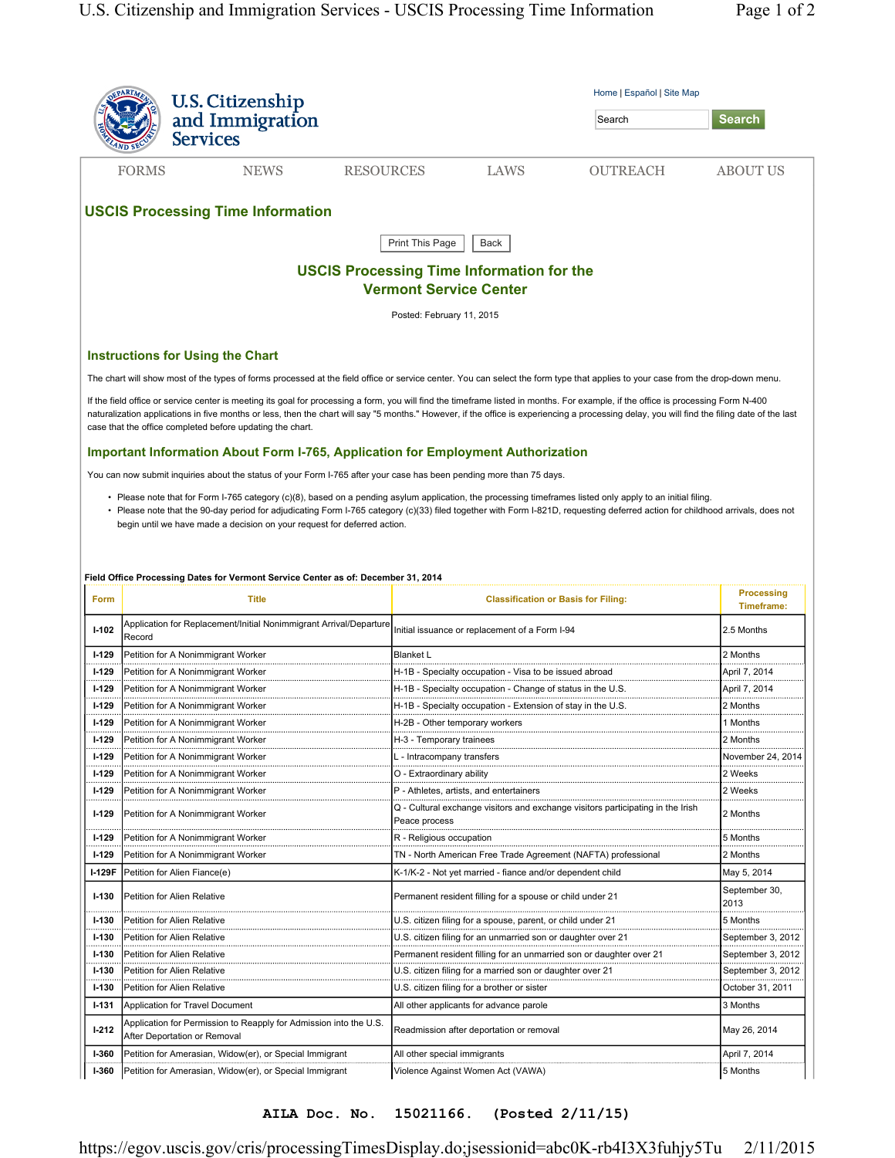|              | <b>U.S. Citizenship</b>                                                                                                                              |                                                                                                                                                                                                                                                                                                                                                                                    | Home   Español   Site Map |  |
|--------------|------------------------------------------------------------------------------------------------------------------------------------------------------|------------------------------------------------------------------------------------------------------------------------------------------------------------------------------------------------------------------------------------------------------------------------------------------------------------------------------------------------------------------------------------|---------------------------|--|
|              | and Immigration<br><b>Services</b>                                                                                                                   | Search                                                                                                                                                                                                                                                                                                                                                                             | <b>Search</b>             |  |
|              | <b>FORMS</b><br><b>NEWS</b>                                                                                                                          | <b>RESOURCES</b><br>LAWS<br><b>OUTREACH</b>                                                                                                                                                                                                                                                                                                                                        | <b>ABOUT US</b>           |  |
|              | <b>USCIS Processing Time Information</b>                                                                                                             |                                                                                                                                                                                                                                                                                                                                                                                    |                           |  |
|              |                                                                                                                                                      | Print This Page<br>Back                                                                                                                                                                                                                                                                                                                                                            |                           |  |
|              |                                                                                                                                                      | <b>USCIS Processing Time Information for the</b>                                                                                                                                                                                                                                                                                                                                   |                           |  |
|              |                                                                                                                                                      | <b>Vermont Service Center</b>                                                                                                                                                                                                                                                                                                                                                      |                           |  |
|              |                                                                                                                                                      | Posted: February 11, 2015                                                                                                                                                                                                                                                                                                                                                          |                           |  |
|              | <b>Instructions for Using the Chart</b>                                                                                                              |                                                                                                                                                                                                                                                                                                                                                                                    |                           |  |
|              |                                                                                                                                                      | The chart will show most of the types of forms processed at the field office or service center. You can select the form type that applies to your case from the drop-down menu.                                                                                                                                                                                                    |                           |  |
|              | case that the office completed before updating the chart.<br><b>Important Information About Form I-765, Application for Employment Authorization</b> | If the field office or service center is meeting its goal for processing a form, you will find the timeframe listed in months. For example, if the office is processing Form N-400<br>naturalization applications in five months or less, then the chart will say "5 months." However, if the office is experiencing a processing delay, you will find the filing date of the last |                           |  |
|              | You can now submit inquiries about the status of your Form I-765 after your case has been pending more than 75 days.                                 |                                                                                                                                                                                                                                                                                                                                                                                    |                           |  |
|              | begin until we have made a decision on your request for deferred action.                                                                             | • Please note that for Form I-765 category (c)(8), based on a pending asylum application, the processing timeframes listed only apply to an initial filing.<br>• Please note that the 90-day period for adjudicating Form I-765 category (c)(33) filed together with Form I-821D, requesting deferred action for childhood arrivals, does not                                      |                           |  |
|              | Field Office Processing Dates for Vermont Service Center as of: December 31, 2014                                                                    |                                                                                                                                                                                                                                                                                                                                                                                    |                           |  |
|              |                                                                                                                                                      |                                                                                                                                                                                                                                                                                                                                                                                    |                           |  |
|              |                                                                                                                                                      |                                                                                                                                                                                                                                                                                                                                                                                    | <b>Processing</b>         |  |
| Form         | Title                                                                                                                                                | <b>Classification or Basis for Filing:</b>                                                                                                                                                                                                                                                                                                                                         | Timeframe:                |  |
| $1 - 102$    | Application for Replacement/Initial Nonimmigrant Arrival/Departure<br>Record                                                                         | Initial issuance or replacement of a Form I-94                                                                                                                                                                                                                                                                                                                                     | 2.5 Months                |  |
| $1-129$      | Petition for A Nonimmigrant Worker                                                                                                                   | <b>Blanket L</b>                                                                                                                                                                                                                                                                                                                                                                   | 2 Months                  |  |
| $1-129$      | Petition for A Nonimmigrant Worker                                                                                                                   | H-1B - Specialty occupation - Visa to be issued abroad                                                                                                                                                                                                                                                                                                                             | April 7, 2014             |  |
| $1-129$      | Petition for A Nonimmigrant Worker                                                                                                                   | H-1B - Specialty occupation - Change of status in the U.S.                                                                                                                                                                                                                                                                                                                         | April 7, 2014             |  |
| $1-129$      | Petition for A Nonimmigrant Worker                                                                                                                   | H-1B - Specialty occupation - Extension of stay in the U.S.                                                                                                                                                                                                                                                                                                                        | 2 Months                  |  |
| $1-129$<br>  | Petition for A Nonimmigrant Worker                                                                                                                   | H-2B - Other temporary workers                                                                                                                                                                                                                                                                                                                                                     | 1 Months                  |  |
| I-129<br>.   | Petition for A Nonimmigrant Worker                                                                                                                   | H-3 - Temporary trainees                                                                                                                                                                                                                                                                                                                                                           | 2 Months                  |  |
| <b>1-129</b> | Petition for A Nonimmigrant Worker                                                                                                                   | L - Intracompany transfers                                                                                                                                                                                                                                                                                                                                                         | November 24, 2014         |  |
| $1-129$      | Petition for A Nonimmigrant Worker                                                                                                                   | O - Extraordinary ability                                                                                                                                                                                                                                                                                                                                                          | 2 Weeks                   |  |
| $1-129$      | Petition for A Nonimmigrant Worker                                                                                                                   | P - Athletes, artists, and entertainers                                                                                                                                                                                                                                                                                                                                            | 2 Weeks                   |  |
| $1-129$      | Petition for A Nonimmigrant Worker                                                                                                                   | Q - Cultural exchange visitors and exchange visitors participating in the Irish<br>Peace process                                                                                                                                                                                                                                                                                   | 2 Months                  |  |
| $1-129$      | Petition for A Nonimmigrant Workeı                                                                                                                   | R - Religious occupation                                                                                                                                                                                                                                                                                                                                                           | 5 Months                  |  |
| $1-129$      | Petition for A Nonimmigrant Worker                                                                                                                   | TN - North American Free Trade Agreement (NAFTA) professional                                                                                                                                                                                                                                                                                                                      | 2 Months                  |  |
| I-129F       | Petition for Alien Fiance(e)                                                                                                                         | K-1/K-2 - Not yet married - fiance and/or dependent child                                                                                                                                                                                                                                                                                                                          | May 5, 2014               |  |
| $I-130$      | Petition for Alien Relative                                                                                                                          | Permanent resident filling for a spouse or child under 21                                                                                                                                                                                                                                                                                                                          | September 30,<br>2013     |  |
| $1 - 130$    | Petition for Alien Relative                                                                                                                          | U.S. citizen filing for a spouse, parent, or child under 21                                                                                                                                                                                                                                                                                                                        | 5 Months                  |  |
| $1-130$      | Petition for Alien Relative                                                                                                                          | U.S. citizen filing for an unmarried son or daughter over 21                                                                                                                                                                                                                                                                                                                       | September 3, 2012         |  |
| $1-130$      | Petition for Alien Relative                                                                                                                          | Permanent resident filling for an unmarried son or daughter over 21                                                                                                                                                                                                                                                                                                                | September 3, 2012         |  |
| $1 - 130$    | Petition for Alien Relative                                                                                                                          | U.S. citizen filing for a married son or daughter over 21                                                                                                                                                                                                                                                                                                                          | September 3, 2012         |  |
| $1-130$      | Petition for Alien Relative                                                                                                                          | U.S. citizen filing for a brother or sister                                                                                                                                                                                                                                                                                                                                        | October 31, 2011          |  |
| $1 - 131$    | Application for Travel Document                                                                                                                      | All other applicants for advance parole                                                                                                                                                                                                                                                                                                                                            | 3 Months                  |  |
| $1-212$      | Application for Permission to Reapply for Admission into the U.S.<br>After Deportation or Removal                                                    | Readmission after deportation or removal                                                                                                                                                                                                                                                                                                                                           | May 26, 2014              |  |
| <b>I-360</b> | Petition for Amerasian, Widow(er), or Special Immigrant                                                                                              | All other special immigrants                                                                                                                                                                                                                                                                                                                                                       | April 7, 2014             |  |

**AILA Doc. No. 15021166. (Posted 2/11/15)**

https://egov.uscis.gov/cris/processingTimesDisplay.do;jsessionid=abc0K-rb4I3X3fuhjy5Tu 2/11/2015